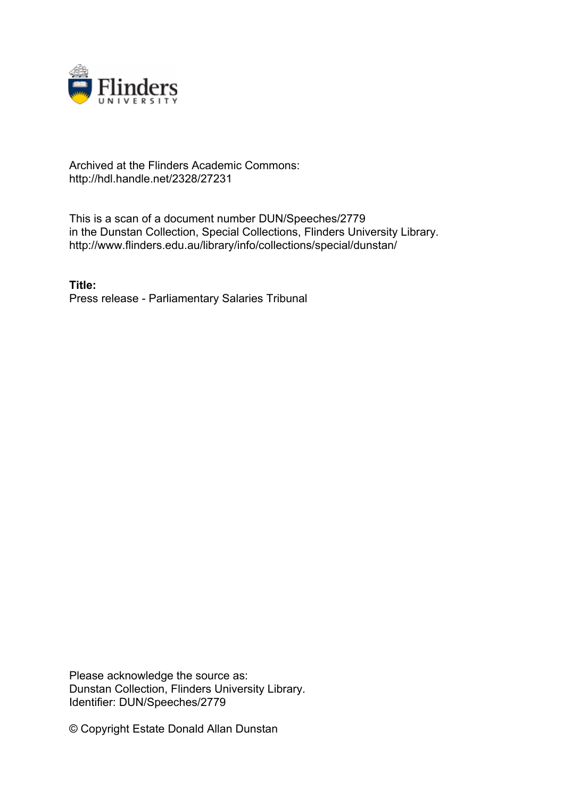

# Archived at the Flinders Academic Commons: http://hdl.handle.net/2328/27231

This is a scan of a document number DUN/Speeches/2779 in the Dunstan Collection, Special Collections, Flinders University Library. http://www.flinders.edu.au/library/info/collections/special/dunstan/

**Title:** Press release - Parliamentary Salaries Tribunal

Please acknowledge the source as: Dunstan Collection, Flinders University Library. Identifier: DUN/Speeches/2779

© Copyright Estate Donald Allan Dunstan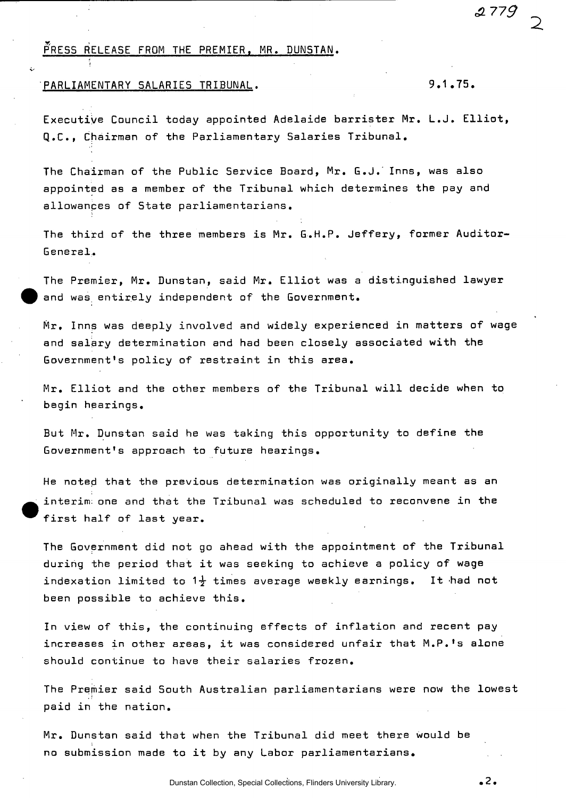## PRESS RELEASE FROM THE PREMIER, MR. DUNSTAN.

### PARLIAMENTARY SALARIES TRIBUNAL. 9.1.75.

Executive Council today appointed Adelaide barrister Mr. L.J. Elliot, Q.C., Chairman of the Parliamentary Salaries Tribunal.

The Chairman of the Public Service Board, Mr. G.J.'Inns, was also appointed as a member of the Tribunal which determines the pay and allowances of State parliamentarians.

The third of the three members is Mr. G.H.P. Jeffery, former Auditor-General.

The Premier, Mr. Dunstan, said Mr. Elliot was a distinguished lawyer and was entirely independent of the Government.

Mr, Inns was deeply involved and widely experienced in matters of wage and salary determination and had been closely associated with the Government's policy of restraint in this area.

Mr. Elliot and the other members of the Tribunal will decide when to begin hearings.

But Mr. Dunstan said he was taking this opportunity to define the Government's approach to future hearings.

He noted that the previous determination was originally meant as an interim; one and that the Tribunal was scheduled to reconvene in the first half of last year.

The Government did not go ahead with the appointment of the Tribunal during the period that it was seeking to achieve a policy of wage indexation limited to  $1\frac{1}{2}$  times average weekly earnings. It had not been possible to achieve this.

In view of this, the continuing effects of inflation and recent pay increases in other areas, it was considered unfair that M.P.'s alone should continue to have their salaries frozen.

The Premier said South Australian parliamentarians were now the lowest paid in the nation.

Mr. Dunstan said that when the Tribunal did meet there would be no submission made to it by any Labor parliamentarians.

 $.2.$ 

c2 *779*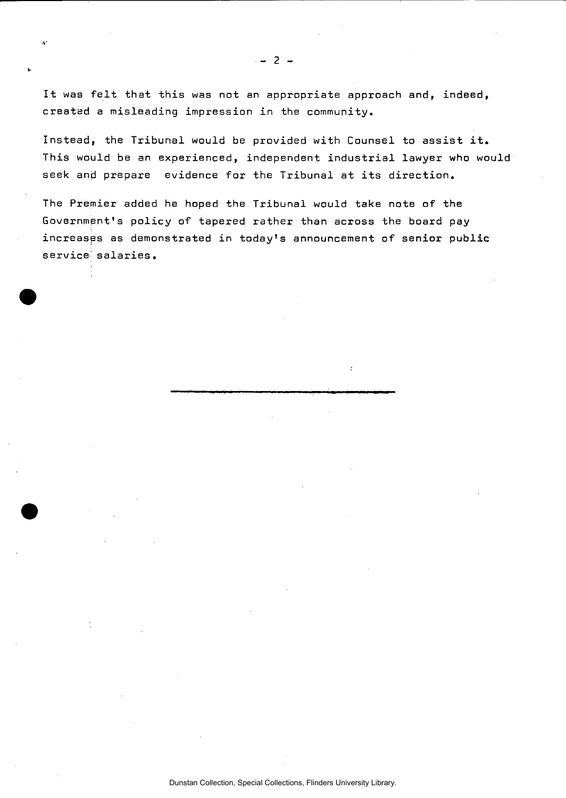It was felt that this was not an appropriate approach and, indeed, created a misleading impression in the community.

Instead, the Tribunal would be provided with Counsel to assist it. This would be an experienced, independent industrial lawyer who would seek and prepare evidence for the Tribunal at its direction.

The Premier added he hoped the Tribunal would take note of the Government's policy of tapered rather than across the board pay increases as demonstrated in today's announcement of senior public service salaries.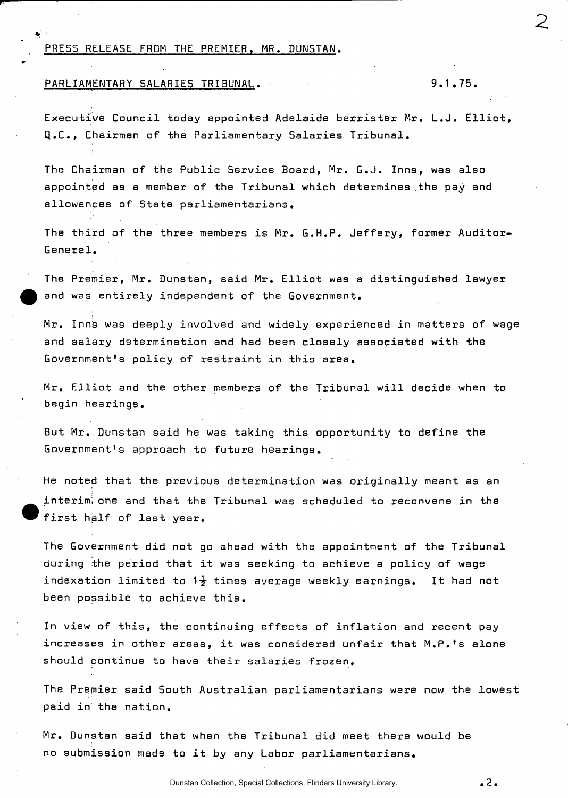### PRESS RELEASE FROM THE PREMIER, MR. DUNSTAN.

PARLIAMENTARY SALARIES TRIBUNAL. 9.1.75.

Executive Council today appointed Adelaide barrister Mr. L.J. Elliot, Q.C., Chairman of the Parliamentary Salaries Tribunal.

The Chairman of the Public Service Board, Mr. G.J. Inns, was also appointed as a member of the Tribunal which determines the pay and allowances of State parliamentarians.

The third of the three members is Mr. G.H.P. Jeffery, former Auditor-General.

The Premier, Mr. Dunstan, said Mr. Elliot was a distinguished lawyer and was entirely independent of the Government.

Mr. Inns was deeply involved and widely experienced in matters of wage and salary determination and had been closely associated with the Government's policy of restraint in this area.

Mr. Elliot and the other members of the Tribunal will decide when to begin hearings.

But Mr. Dunstan said he was taking this opportunity to define the Government's approach to future hearings.

He noted that the previous determination was originally meant as an interim; one and that the Tribunal was scheduled to reconvene in the first half of last year.

The Government did not go ahead with the appointment of the Tribunal during the period that it was seeking to achieve a policy of wage indexation limited to 1 $\frac{1}{2}$  times average weekly earnings. It had not been possible to achieve this.

In view of this, the continuing effects of inflation and recent pay increases in other areas, it was considered unfair that M.P.'s alone should continue to have their salaries frozen.

The Premier said South Australian parliamentarians were now the lowest paid in the nation.

Mr. Dunstan said that when the Tribunal did meet there would be no submission made to it by any Labor parliamentarians.

**.2.**